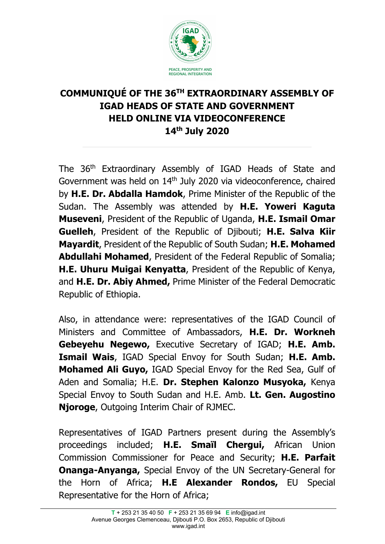

# **COMMUNIQUÉ OF THE 36TH EXTRAORDINARY ASSEMBLY OF IGAD HEADS OF STATE AND GOVERNMENT HELD ONLINE VIA VIDEOCONFERENCE 14th July 2020**

The 36th Extraordinary Assembly of IGAD Heads of State and Government was held on 14<sup>th</sup> July 2020 via videoconference, chaired by **H.E. Dr. Abdalla Hamdok**, Prime Minister of the Republic of the Sudan. The Assembly was attended by **H.E. Yoweri Kaguta Museveni**, President of the Republic of Uganda, **H.E. Ismail Omar Guelleh**, President of the Republic of Djibouti; **H.E. Salva Kiir Mayardit**, President of the Republic of South Sudan; **H.E. Mohamed Abdullahi Mohamed**, President of the Federal Republic of Somalia; **H.E. Uhuru Muigai Kenyatta**, President of the Republic of Kenya, and **H.E. Dr. Abiy Ahmed,** Prime Minister of the Federal Democratic Republic of Ethiopia.

Also, in attendance were: representatives of the IGAD Council of Ministers and Committee of Ambassadors, **H.E. Dr. Workneh Gebeyehu Negewo,** Executive Secretary of IGAD; **H.E. Amb. Ismail Wais**, IGAD Special Envoy for South Sudan; **H.E. Amb. Mohamed Ali Guyo,** IGAD Special Envoy for the Red Sea, Gulf of Aden and Somalia; H.E. **Dr. Stephen Kalonzo Musyoka,** Kenya Special Envoy to South Sudan and H.E. Amb. **Lt. Gen. Augostino Njoroge**, Outgoing Interim Chair of RJMEC.

Representatives of IGAD Partners present during the Assembly's proceedings included; **H.E. Smaїl Chergui,** African Union Commission Commissioner for Peace and Security; **H.E. Parfait Onanga-Anyanga,** Special Envoy of the UN Secretary-General for the Horn of Africa; **H.E Alexander Rondos,** EU Special Representative for the Horn of Africa;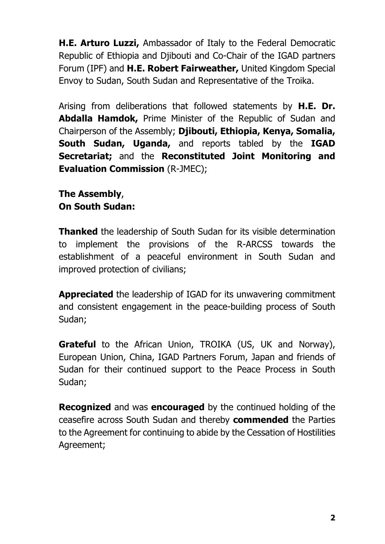**H.E. Arturo Luzzi,** Ambassador of Italy to the Federal Democratic Republic of Ethiopia and Djibouti and Co-Chair of the IGAD partners Forum (IPF) and **H.E. Robert Fairweather,** United Kingdom Special Envoy to Sudan, South Sudan and Representative of the Troika.

Arising from deliberations that followed statements by **H.E. Dr. Abdalla Hamdok,** Prime Minister of the Republic of Sudan and Chairperson of the Assembly; **Djibouti, Ethiopia, Kenya, Somalia, South Sudan, Uganda,** and reports tabled by the **IGAD Secretariat;** and the **Reconstituted Joint Monitoring and Evaluation Commission** (R-JMEC);

**The Assembly**, **On South Sudan:**

**Thanked** the leadership of South Sudan for its visible determination to implement the provisions of the R-ARCSS towards the establishment of a peaceful environment in South Sudan and improved protection of civilians;

**Appreciated** the leadership of IGAD for its unwavering commitment and consistent engagement in the peace-building process of South Sudan;

**Grateful** to the African Union, TROIKA (US, UK and Norway), European Union, China, IGAD Partners Forum, Japan and friends of Sudan for their continued support to the Peace Process in South Sudan;

**Recognized** and was **encouraged** by the continued holding of the ceasefire across South Sudan and thereby **commended** the Parties to the Agreement for continuing to abide by the Cessation of Hostilities Agreement;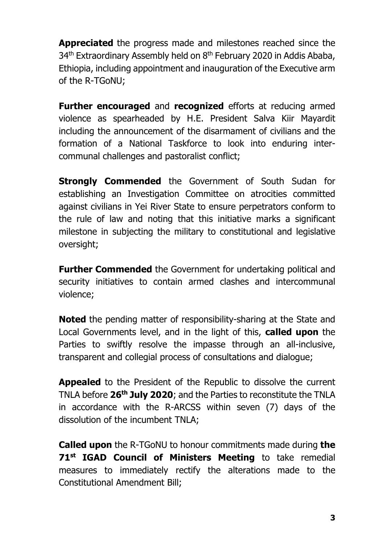**Appreciated** the progress made and milestones reached since the 34<sup>th</sup> Extraordinary Assembly held on 8<sup>th</sup> February 2020 in Addis Ababa, Ethiopia, including appointment and inauguration of the Executive arm of the R-TGoNU;

**Further encouraged** and **recognized** efforts at reducing armed violence as spearheaded by H.E. President Salva Kiir Mayardit including the announcement of the disarmament of civilians and the formation of a National Taskforce to look into enduring intercommunal challenges and pastoralist conflict;

**Strongly Commended** the Government of South Sudan for establishing an Investigation Committee on atrocities committed against civilians in Yei River State to ensure perpetrators conform to the rule of law and noting that this initiative marks a significant milestone in subjecting the military to constitutional and legislative oversight;

**Further Commended** the Government for undertaking political and security initiatives to contain armed clashes and intercommunal violence;

**Noted** the pending matter of responsibility-sharing at the State and Local Governments level, and in the light of this, **called upon** the Parties to swiftly resolve the impasse through an all-inclusive, transparent and collegial process of consultations and dialogue;

**Appealed** to the President of the Republic to dissolve the current TNLA before **26th July 2020**; and the Parties to reconstitute the TNLA in accordance with the R-ARCSS within seven (7) days of the dissolution of the incumbent TNLA;

**Called upon** the R-TGoNU to honour commitments made during **the 71st IGAD Council of Ministers Meeting** to take remedial measures to immediately rectify the alterations made to the Constitutional Amendment Bill;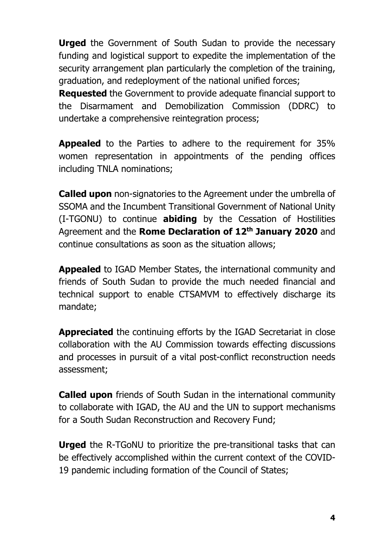**Urged** the Government of South Sudan to provide the necessary funding and logistical support to expedite the implementation of the security arrangement plan particularly the completion of the training, graduation, and redeployment of the national unified forces;

**Requested** the Government to provide adequate financial support to the Disarmament and Demobilization Commission (DDRC) to undertake a comprehensive reintegration process;

**Appealed** to the Parties to adhere to the requirement for 35% women representation in appointments of the pending offices including TNLA nominations;

**Called upon** non-signatories to the Agreement under the umbrella of SSOMA and the Incumbent Transitional Government of National Unity (I-TGONU) to continue **abiding** by the Cessation of Hostilities Agreement and the **Rome Declaration of 12th January 2020** and continue consultations as soon as the situation allows;

**Appealed** to IGAD Member States, the international community and friends of South Sudan to provide the much needed financial and technical support to enable CTSAMVM to effectively discharge its mandate;

**Appreciated** the continuing efforts by the IGAD Secretariat in close collaboration with the AU Commission towards effecting discussions and processes in pursuit of a vital post-conflict reconstruction needs assessment;

**Called upon** friends of South Sudan in the international community to collaborate with IGAD, the AU and the UN to support mechanisms for a South Sudan Reconstruction and Recovery Fund;

**Urged** the R-TGoNU to prioritize the pre-transitional tasks that can be effectively accomplished within the current context of the COVID-19 pandemic including formation of the Council of States;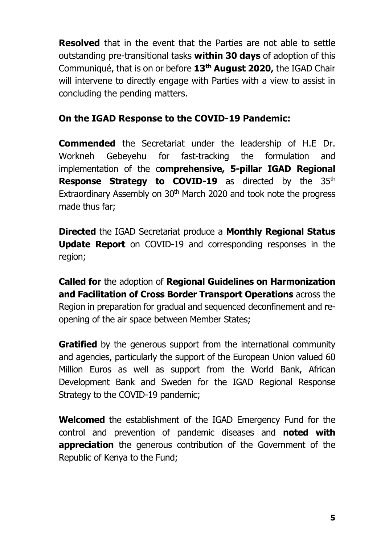**Resolved** that in the event that the Parties are not able to settle outstanding pre-transitional tasks **within 30 days** of adoption of this Communiqué, that is on or before **13th August 2020,** the IGAD Chair will intervene to directly engage with Parties with a view to assist in concluding the pending matters.

### **On the IGAD Response to the COVID-19 Pandemic:**

**Commended** the Secretariat under the leadership of H.E Dr. Workneh Gebeyehu for fast-tracking the formulation and implementation of the c**omprehensive, 5-pillar IGAD Regional Response Strategy to COVID-19** as directed by the 35<sup>th</sup> Extraordinary Assembly on 30<sup>th</sup> March 2020 and took note the progress made thus far;

**Directed** the IGAD Secretariat produce a **Monthly Regional Status Update Report** on COVID-19 and corresponding responses in the region;

**Called for** the adoption of **Regional Guidelines on Harmonization and Facilitation of Cross Border Transport Operations** across the Region in preparation for gradual and sequenced deconfinement and reopening of the air space between Member States;

**Gratified** by the generous support from the international community and agencies, particularly the support of the European Union valued 60 Million Euros as well as support from the World Bank, African Development Bank and Sweden for the IGAD Regional Response Strategy to the COVID-19 pandemic;

**Welcomed** the establishment of the IGAD Emergency Fund for the control and prevention of pandemic diseases and **noted with appreciation** the generous contribution of the Government of the Republic of Kenya to the Fund;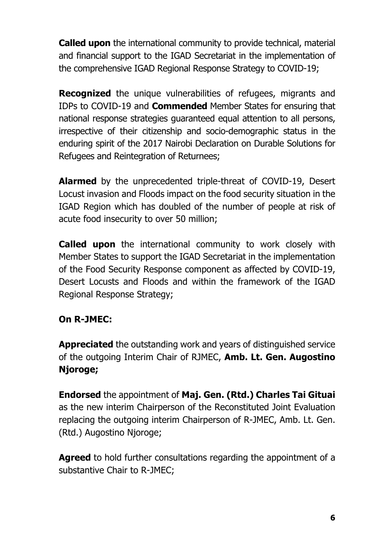**Called upon** the international community to provide technical, material and financial support to the IGAD Secretariat in the implementation of the comprehensive IGAD Regional Response Strategy to COVID-19;

**Recognized** the unique vulnerabilities of refugees, migrants and IDPs to COVID-19 and **Commended** Member States for ensuring that national response strategies guaranteed equal attention to all persons, irrespective of their citizenship and socio-demographic status in the enduring spirit of the 2017 Nairobi Declaration on Durable Solutions for Refugees and Reintegration of Returnees;

**Alarmed** by the unprecedented triple-threat of COVID-19, Desert Locust invasion and Floods impact on the food security situation in the IGAD Region which has doubled of the number of people at risk of acute food insecurity to over 50 million;

**Called upon** the international community to work closely with Member States to support the IGAD Secretariat in the implementation of the Food Security Response component as affected by COVID-19, Desert Locusts and Floods and within the framework of the IGAD Regional Response Strategy;

### **On R-JMEC:**

**Appreciated** the outstanding work and years of distinguished service of the outgoing Interim Chair of RJMEC, **Amb. Lt. Gen. Augostino Njoroge;**

**Endorsed** the appointment of **Maj. Gen. (Rtd.) Charles Tai Gituai** as the new interim Chairperson of the Reconstituted Joint Evaluation replacing the outgoing interim Chairperson of R-JMEC, Amb. Lt. Gen. (Rtd.) Augostino Njoroge;

**Agreed** to hold further consultations regarding the appointment of a substantive Chair to R-JMEC;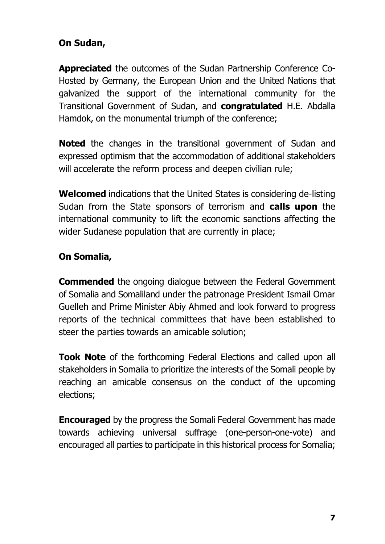### **On Sudan,**

**Appreciated** the outcomes of the Sudan Partnership Conference Co-Hosted by Germany, the European Union and the United Nations that galvanized the support of the international community for the Transitional Government of Sudan, and **congratulated** H.E. Abdalla Hamdok, on the monumental triumph of the conference;

**Noted** the changes in the transitional government of Sudan and expressed optimism that the accommodation of additional stakeholders will accelerate the reform process and deepen civilian rule;

**Welcomed** indications that the United States is considering de-listing Sudan from the State sponsors of terrorism and **calls upon** the international community to lift the economic sanctions affecting the wider Sudanese population that are currently in place;

### **On Somalia,**

**Commended** the ongoing dialogue between the Federal Government of Somalia and Somaliland under the patronage President Ismail Omar Guelleh and Prime Minister Abiy Ahmed and look forward to progress reports of the technical committees that have been established to steer the parties towards an amicable solution;

**Took Note** of the forthcoming Federal Elections and called upon all stakeholders in Somalia to prioritize the interests of the Somali people by reaching an amicable consensus on the conduct of the upcoming elections;

**Encouraged** by the progress the Somali Federal Government has made towards achieving universal suffrage (one-person-one-vote) and encouraged all parties to participate in this historical process for Somalia;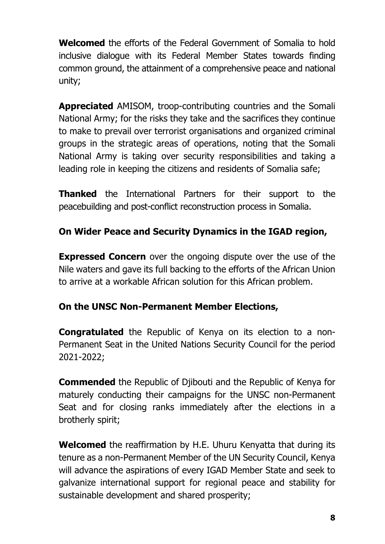**Welcomed** the efforts of the Federal Government of Somalia to hold inclusive dialogue with its Federal Member States towards finding common ground, the attainment of a comprehensive peace and national unity;

**Appreciated** AMISOM, troop-contributing countries and the Somali National Army; for the risks they take and the sacrifices they continue to make to prevail over terrorist organisations and organized criminal groups in the strategic areas of operations, noting that the Somali National Army is taking over security responsibilities and taking a leading role in keeping the citizens and residents of Somalia safe;

**Thanked** the International Partners for their support to the peacebuilding and post-conflict reconstruction process in Somalia.

## **On Wider Peace and Security Dynamics in the IGAD region,**

**Expressed Concern** over the ongoing dispute over the use of the Nile waters and gave its full backing to the efforts of the African Union to arrive at a workable African solution for this African problem.

#### **On the UNSC Non-Permanent Member Elections,**

**Congratulated** the Republic of Kenya on its election to a non-Permanent Seat in the United Nations Security Council for the period 2021-2022;

**Commended** the Republic of Djibouti and the Republic of Kenya for maturely conducting their campaigns for the UNSC non-Permanent Seat and for closing ranks immediately after the elections in a brotherly spirit;

**Welcomed** the reaffirmation by H.E. Uhuru Kenyatta that during its tenure as a non-Permanent Member of the UN Security Council, Kenya will advance the aspirations of every IGAD Member State and seek to galvanize international support for regional peace and stability for sustainable development and shared prosperity;